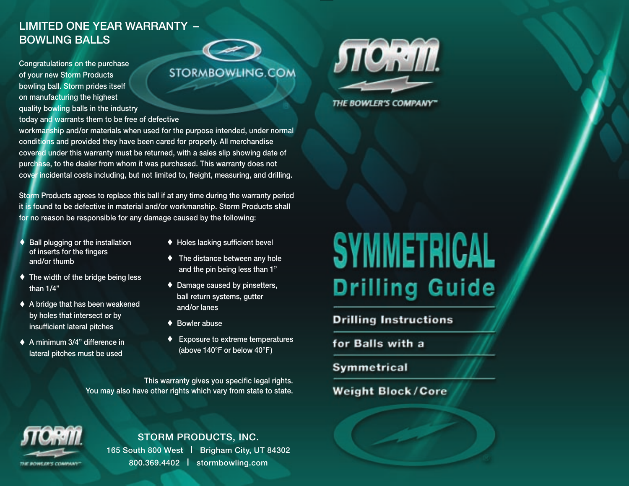## LIMITED ONE YEAR WARRANTY – BOWLING BALLS

Congratulations on the purchase of your new Storm Products bowling ball. Storm prides itself on manufacturing the highest



quality bowling balls in the industry today and warrants them to be free of defective workmanship and/or materials when used for the purpose intended, under normal conditions and provided they have been cared for properly. All merchandise covered under this warranty must be returned, with a sales slip showing date of

purchase, to the dealer from whom it was purchased. This warranty does not cover incidental costs including, but not limited to, freight, measuring, and drilling.

Storm Products agrees to replace this ball if at any time during the warranty period it is found to be defective in material and/or workmanship. Storm Products shall for no reason be responsible for any damage caused by the following:

- ♦ Ball plugging or the installation of inserts for the fingers and/or thumb
- $\blacklozenge$  The width of the bridge being less than 1/4"
- ♦ A bridge that has been weakened by holes that intersect or by insufficient lateral pitches
- ♦ A minimum 3/4" difference in lateral pitches must be used
- ♦ Holes lacking sufficient bevel
- $\blacklozenge$  The distance between any hole and the pin being less than 1"
- ♦ Damage caused by pinsetters, ball return systems, gutter and/or lanes
- ♦ Bowler abuse
- **Exposure to extreme temperatures** (above 140°F or below 40°F)

This warranty gives you specific legal rights. You may also have other rights which vary from state to state.



THE BOWLER'S COMPANY"

## **SYMMETRICAL Drilling Guide**

**Drilling Instructions** 

for Balls with a

Symmetrical

#### **Weight Block/Core**



STORM PRODUCTS, INC. 165 South 800 West | Brigham City, UT 84302 800.369.4402 | stormbowling.com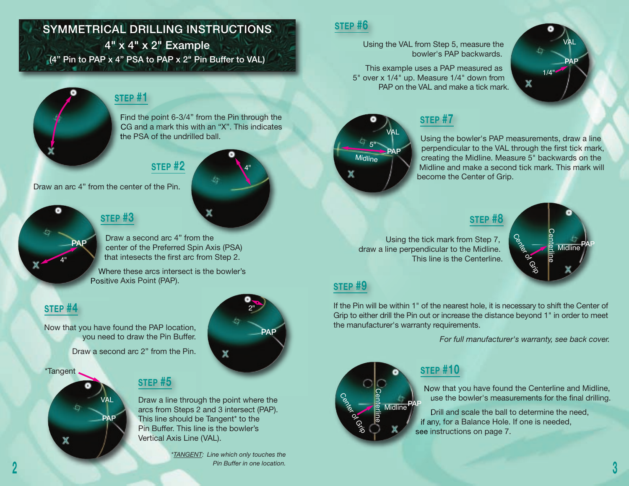## SYMMETRICAL DRILLING INSTRUCTIONS

4" x 4" x 2" Example (4" Pin to PAP x 4" PSA to PAP x 2" Pin Buffer to VAL)



PAP

#### **STEP #1**

Find the point 6-3/4" from the Pin through the CG and a mark this with an "X". This indicates the PSA of the undrilled ball.

#### **STEP #2**

Draw an arc 4" from the center of the Pin.

## **STEP #3**

Draw a second arc 4" from the center of the Preferred Spin Axis (PSA) that intesects the first arc from Step 2.

Where these arcs intersect is the bowler's Positive Axis Point (PAP).

## **STEP #4**

4"

Now that you have found the PAP location, you need to draw the Pin Buffer.

Draw a second arc 2" from the Pin.

#### \*Tangent

# PAP VAL



4"

#### **STEP #5**

Draw a line through the point where the arcs from Steps 2 and 3 intersect (PAP). This line should be Tangent\* to the Pin Buffer. This line is the bowler's Vertical Axis Line (VAL).

> *\*TANGENT: Line which only touches the Pin Buffer in one location.*

## **STEP #6**

Using the VAL from Step 5, measure the bowler's PAP backwards.

This example uses a PAP measured as 5" over x 1/4" up. Measure 1/4" down from PAP on the VAL and make a tick mark.



## **STEP #7**

Using the bowler's PAP measurements, draw a line perpendicular to the VAL through the first tick mark, creating the Midline. Measure 5" backwards on the Midline and make a second tick mark. This mark will become the Center of Grip.

VAL

PAP

1/4"

P<sub>R</sub><br> **Midline**<br> **Midline** 

PAP

#### **STEP #8**

Using the tick mark from Step 7, draw a line perpendicular to the Midline. This line is the Centerline.



#### **STEP #9**

If the Pin will be within 1" of the nearest hole, it is necessary to shift the Center of Grip to either drill the Pin out or increase the distance beyond 1" in order to meet the manufacturer's warranty requirements.

*For full manufacturer's warranty, see back cover.*

 ofCenterline<br>Centerline



## **STEP #10**

Now that you have found the Centerline and Midline, use the bowler's measurements for the final drilling.

Drill and scale the ball to determine the need, if any, for a Balance Hole. If one is needed, see instructions on page 7.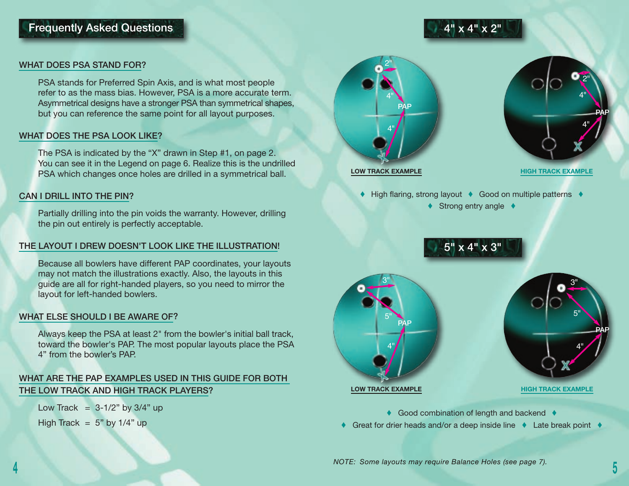## Frequently Asked Questions

#### WHAT DOES PSA STAND FOR?

PSA stands for Preferred Spin Axis, and is what most people refer to as the mass bias. However, PSA is a more accurate term. Asymmetrical designs have a stronger PSA than symmetrical shapes, but you can reference the same point for all layout purposes.

#### WHAT DOES THE PSA LOOK LIKE?

The PSA is indicated by the "X" drawn in Step #1, on page 2. You can see it in the Legend on page 6. Realize this is the undrilled PSA which changes once holes are drilled in a symmetrical ball.

#### CAN I DRILL INTO THE PIN?

Partially drilling into the pin voids the warranty. However, drilling the pin out entirely is perfectly acceptable.

#### THE LAYOUT I DREW DOESN'T LOOK LIKE THE ILLUSTRATION!

Because all bowlers have different PAP coordinates, your layouts may not match the illustrations exactly. Also, the layouts in this guide are all for right-handed players, so you need to mirror the layout for left-handed bowlers.

#### WHAT ELSE SHOULD I BE AWARE OF?

Always keep the PSA at least 2" from the bowler's initial ball track, toward the bowler's PAP. The most popular layouts place the PSA 4" from the bowler's PAP.

#### WHAT ARE THE PAP EXAMPLES USED IN THIS GUIDE FOR BOTH THE LOW TRACK AND HIGH TRACK PLAYERS?

Low Track =  $3-1/2$ " by  $3/4$ " up High Track =  $5"$  by  $1/4"$  up





♦ High flaring, strong layout ♦ Good on multiple patterns ♦

4" x 4" x 2"

♦ Strong entry angle ♦





♦ Good combination of length and backend ♦

♦ Great for drier heads and/or a deep inside line ♦ Late break point ♦